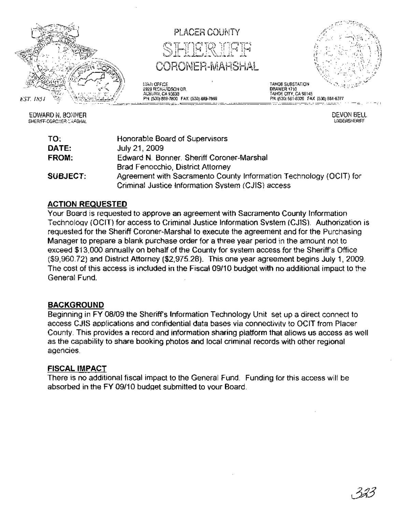

EDWARD N. BONNER SHERIFF-CORCNER-:: ARSHAL



<u>========</u>=

12AN OFFICE<br>2929 RICHARDSON DR.<br>AUBURN, CA 95603 PH: (530) 889-7800 FAX: (530) 889-7899



TAHOE CITY, CA 96145 PH: (530) 581-6300 FAX (530) 681-6377

DRAWER 1710

DEVON BELL UNDERSHERIFF

| TO:      | Honorable Board of Supervisors                                     |
|----------|--------------------------------------------------------------------|
| DATE:    | July 21, 2009                                                      |
| FROM:    | Edward N. Bonner, Sheriff Coroner-Marshal                          |
|          | Brad Fenocchio, District Attorney                                  |
| SUBJECT: | Agreement with Sacramento County Information Technology (OCIT) for |
|          | Criminal Justice Information System (CJIS) access                  |

# ACTION REQUESTED

Your Board is requested to approve an agreement with Sacramento County Information Technoloqy (OCIT) for access to Criminal Justice Information System (CJIS). Authorization is requested for the Sheriff Coroner-Marshal to execute the agreement and for the Purchasing Manager to prepare a blank purchase order for a three year period in the amount not to exceed \$13,000 annually on behalf of the County for system access for the Sheriff's Office (\$9,960.72) and District Attorney (\$2,975.28). This one year agreement begins July 1,2009. The cost of this access is included in the Fiscal 09/10 budget with no additional impact to the General Fund.

# BACKGROUND

Beginning in FY 08/09 the Sheriff's Information Technology Unit set up a direct connect to access CJIS applications and confidential data bases via connectivity to OCIT from Placer County. This provides a record and information sharing platform that allows us access as well as the capability to share booking photos and local criminal records with other regional agencies.

# FISCAL IMPACT

There is no additional fiscal impact to the General Fund. Funding for this access will be absorbed in the FY 09/10 budget submitted to your Board.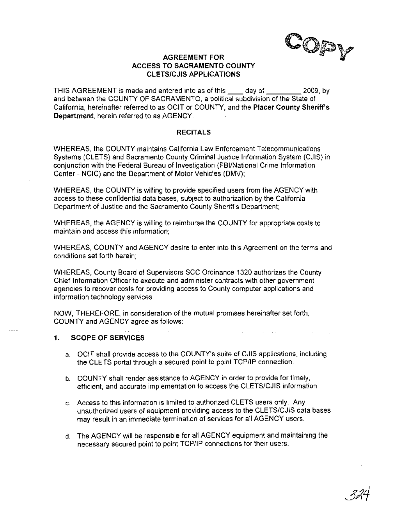CO<sub>P</sub>

## AGREEMENT FOR ACCESS TO SACRAMENTO COUNTY CLETS/CJIS APPLICATIONS

THIS AGREEMENT is made and entered into as of this \_\_\_\_\_ day of \_\_\_\_\_\_\_\_\_\_ 2009, by and between the COUNTY OF SACRAMENTO, a political subdivision of the State of California, hereinafter referred to as OCIT or COUNTY, and the Placer County Sheriff's Department, herein referred to as AGENCY.

#### **RECITALS**

WHEREAS, the COUNTY maintains California Law Enforcement Telecommunications Systems (CLETS) and Sacramento County Criminal Justice Information System (CJIS) in conjunction with the Federal Bureau of Investigation (FBI/National Crime Information Center - NCIC) and the Department of Motor Vehicles (DMV);

WHEREAS, the COUNTY is willing to provide specified users from the AGENCY with access to these confidential data bases, subject to authorization by the California Department of Justice and the Sacramento County Sheriff's Department;

WHEREAS, the AGENCY is willing to reimburse the COUNTY for appropriate costs to maintain and access this information; .

WHEREAS, COUNTY and AGENCY desire to enter into this Agreement on the terms and conditions set forth herein;

WHEREAS, County Board of Supervisors SCC Ordinance 1320 authorizes the County Chief Information Officer to execute and administer contracts with other government agencies to recover costs for providing access to County computer applications and information technology services.

NOW, THEREFORE, in consideration of the mutual promises hereinafter set forth, COUNTY and AGENCY agree as follows:

#### 1. SCOPE OF SERVICES

- a. OCIT shall provide access to the COUNTY's suite of CJIS applications, including the CLETS portal through a secured point to point TCP/IP connection.
- b. COUNTY shall render assistance to AGENCY in order to provide for timely, efficient, and accurate implementation to access the CLETS/CJIS information.
- c. Access to this information is limited to authorized CLETS users only. Any unauthorized users of equipment providing access to the CLETS/CJIS data bases may result in an immediate termination of services for all AGENCY users.
- d. The AGENCY will be responsible for all AGENCY equipment and maintaining the necessary secured point to point TCP/IP connections for their users.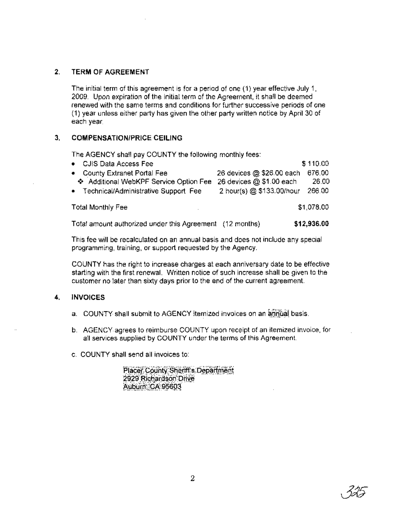# 2. TERM OF AGREEMENT

The initial term of this agreement is for a period of one (1) year effective July 1, 2009. Upon expiration of the initial term of the Agreement, it shall be deemed renewed with the same terms and conditions for further successive periods of one (1) year unless either party has given the other party written notice by April 30 of each year.

# 3. COMPENSATION/PRICE CEILING

The AGENCY shall pay COUNTY the following monthly fees:

| • CJIS Data Access Fee                 | \$110.00                            |
|----------------------------------------|-------------------------------------|
| • County Extranet Portal Fee           | 26 devices @ \$26.00 each<br>676.00 |
| ❖ Additional WebKPF Service Option Fee | 26 devices @ \$1.00 each<br>26.00   |
| • Technical/Administrative Support Fee | 2 hour(s) @ \$133.00/hour<br>266.00 |
| <b>Total Monthly Fee</b>               | \$1,078.00                          |

Total amount authorized under this Agreement (12 months) \$12,936.00

This fee will be recalculated on an annual basis and does not include any special programming, training, or support requested by the Agency.

COUNTY has the right to increase charges at each anniversary date to be effective starting with the first renewal. Written notice of such increase shall be given to the customer no later than sixty days prior to the end of the current agreement.

#### 4. INVOICES

- a. COUNTY shall submit to AGENCY itemized invoices on an annual basis.
- b. AGENCY-agrees to reimburse COUNTY upon receipt of an itemized invoice, for all services supplied by COUNTY under the terms of this Agreement.
- c. COUNTY shall send all invoices to:

Placer County Sheriff's Department 2929 Richardson Drive Auburn CA 95603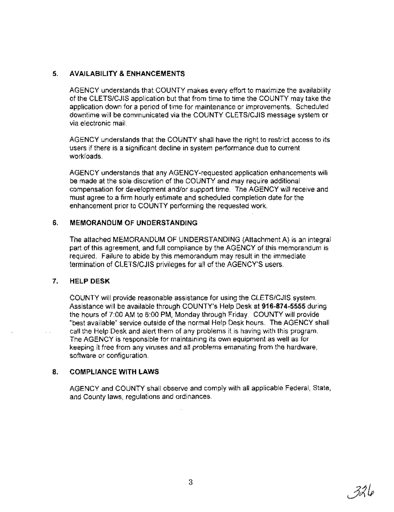# **5. AVAILABILITY &ENHANCEMENTS**

AGENCY understands that COUNTY makes every effort to maximize the availability of the CLETS/CJIS application but that from time to time the COUNTY may take the application down for a period of time for maintenance or improvements. Scheduled downtime will be communicated via the COUNTY CLETS/CJIS message system or via electronic mail.

AGENCY understands that the COUNTY shall have the right to restrict access to its users if there is a significant decline in system performance due to current workloads.

AGENCY understands that any AGENCY-requested application enhancements will be made at the sole discretion of the COUNTY and may require additional compensation for development and/or support time. The AGENCY will receive and must agree to a firm hourly estimate and scheduled completion date for the enhancement prior to COUNTY performing the requested work.

## **6. MEMORANDUM OF UNDERSTANDING**

The attached MEMORANDUM OF UNDERSTANDING (Attachment A) is an integral part of this agreement, and full compliance by the AGENCY of this memorandum is required. Failure to abide by this memorandum may result in the immediate termination of CLETS/CJIS privileges for all of the AGENCY'S users.

#### **7. HELP DESK**

COUNTY will provide reasonable assistance for using the CLETS/CJIS system. Assistance will be available through COUNTY's Help Desk at **916-874-5555** during the hours of 7:00 AM to 6:00 PM, Monday through Friday. COUNTY will provide· "best available" service outside of the normal Help Desk hours. The AGENCY shall call the Help-Desk and alert them of any problems it is having with this program. The AGENCY is responsible for maintaining its own equipment as well as for keeping it free from any viruses and all problems emanating from the hardware, software or configuration.

# **8. COMPLIANCE WITH LAWS**

AGENCY and COUNTY shall observe and comply with all applicable Federal, State, and County laws, regulations and ordinances.

. 324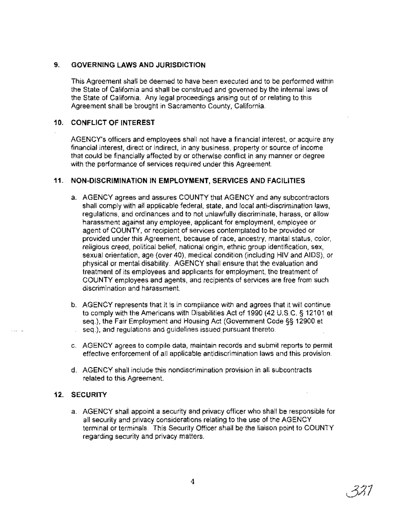## **9. GOVERNING LAWS AND JURISDICTION**

This Agreement shall be deemed to have been executed and to be performed within the State of California and shall be construed and governed by the internal laws of the State of California. Any legal proceedings arising out of or relating to this Agreement shall be brought in Sacramento County, California.

## **10. CONFLICT OF INTEREST**

AGENCY's officers and employees shall not have a financial interest, or acquire any financial interest, direct or indirect, in any business, property or source of income that could be financially affected by or otherwise conflict in any manner or degree with the performance of services required under this Agreement.

## **11. NON-DISCRIMINATION IN EMPLOYMENT, SERVICES AND FACILITIES**

- a. AGENCY agrees and assures COUNTY that AGENCY and any subcontractors shall comply with all applicable federal, state, and local anti-discrimination laws, regulations, and ordinances and to not unlawfully discriminate, harass, or allow harassment against any employee, applicant for employment, employee or agent of COUNTY, or recipient of services contemplated to be provided or provided under this Agreement, because of race, ancestry, marital status, color, religious creed, political belief, national origin, ethnic group identification, sex, sexual orientation, age (over 40), medical condition (including HIV and AIDS), or physical or mental disability. AGENCY shall ensure that the evaluation and treatment of its employees and applicants for employment, the treatment of COUNTY employees and agents, and recipients of services are free from such discrimination and harassment.
- b. AGENCY represents that it is in compliance with and agrees that it will continue to comply with the Americans with Disabilities Act of 1990 (42 U.S.C. § 12101 et seq.), the Fair Employment and Housing Act (Government Code §§ 12900 et seq.), and regulations and guidelines issued pursuant thereto.
- c. AGENCY agrees to compile data, maintain records and submit reports to permit effective enforcement of all applicable antidiscrimination laws and this provision.
- d. AGENCY shall include this nondiscrimination provision in all subcontracts related to this Agreement.

# **12. SECURITY**

a. AGENCY shafl appoint a security and privacy officer who shall be responsible for all security and privacy considerations relating to the use of the AGENCY terminal or terminals. This Security Officer shall be the liaison point to COUNTY regarding security and privacy matters.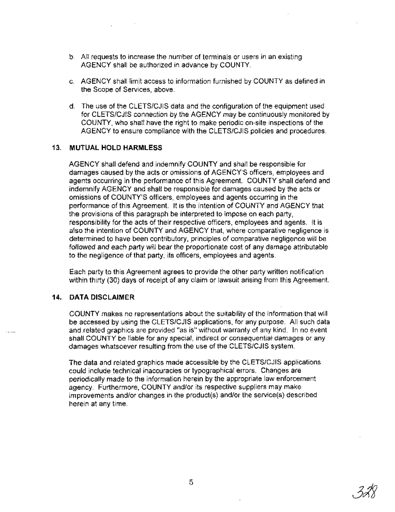- b. All requests to increase the number of terminals or users in an existing AGENCY shall be authorized in advance by COUNTY.
- c. AGENCY shall limit access to information furnished by COUNTY as defined in the Scope of Services, above.
- d. The use of the CLETS/CJIS data and the configuration of the equipment used for CLETS/CJIS connection by the AGENCY may be continuously monitored by COUNTY, who shall have the right to make periodic on-site inspections of the AGENCY to ensure compliance with the CLETS/CJIS policies and procedures.

#### **13. MUTUAL HOLD HARMLESS**

AGENCY shall defend and indemnify COUNTY and shall be responsible for damages caused by the acts or omissions of AGENCY'S officers, employees and agents occurring in the performance of this Agreement. COUNTY shall defend and indemnify AGENCY and shall be responsible for damages caused by the acts or omissions of COUNTY'S officers, employees and agents occurring in the performance of this Agreement. It is the intention of COUNTY and AGENCY that the provisions of this paragraph be interpreted to impose on each party, responsibility for the acts of their respective officers, employees and agents. It is also the intention of COUNTY and AGENCY that, where comparative negligence is determined to have been contributory, principles of comparative negligence will be followed and each party will bear the proportionate cost of any damage attributable to the negligence of that party, its officers, employees and agents.

Each party to this Agreement agrees to provide the other party written notification within thirty (30) days of receipt of any claim or lawsuit arising from this Agreement.

#### **14. DATA DISCLAIMER**

COUNTY makes no representations about the suitability of the information that will be accessed by using the CLETS/CJIS applications, for any purpose. All such data and\_related graphics are provided "as is'" without warranty of any kind. In no event shall COUNTY be liable for any special, indirect or consequential damages or any damages whatsoever resulting from the use of the CLETS/CJIS system.

The data and related graphics made accessible by the CLETS/CJIS applications could include technical inaccuracies or typographical errors. Changes are periodically made to the information herein by the appropriate law enforcement agency. Furthermore, COUNTY and/or its respective suppliers may make improvements and/or changes in the product(s) and/or the service(s) described herein at any time.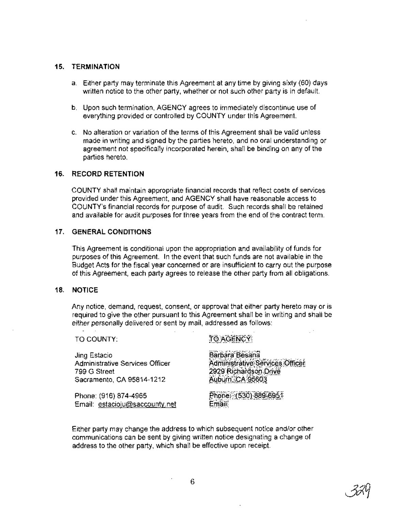### **15. TERMINATION**

- a. Either party may terminate this Agreement at any time by giving sixty (60) days written notice to the other party, whether or not such other party is in default.
- b. Upon such termination, AGENCY agrees to immediately discontinue use of everything provided or controlled by COUNTY under this Agreement.
- c. No alteration or variation of the terms of this Agreement shall be valid unless made in writing and signed by the parties hereto, and no oral understanding or agreement not specifically incorporated herein, shall be binding on any of the parties hereto.

## **16. RECORD RETENTION**

COUNTY shall maintain appropriate financial records that reflect costs of services provided under this Agreement, and AGENCY shall have reasonable access to COUNTY's financial records for purpose of audit. Such records shall be retained and available for audit purposes for three years from the end of the contract term.

## **17. GENERAL CONDITIONS**

This Agreement is conditional upon the appropriation and availability of funds for purposes of this Agreement. In the event that such funds are not available in the BUdget Acts for the fiscal year concerned or are insufficient to carry out the purpose of this Agreement, each party agrees to release the other party from all obligations.

#### **18. NOTICE**

Any notice, demand, request, consent, or approval that either party hereto mayor is required to give the other pursuant to this Agreement shall be in writing and shall be either personally delivered or sent by mail, addressed as follows:

TO COUNTY:

# TO AGENCY

Jing Estacio Administrative Services Officer 799 G Street Sacramento, CA 95814-1212

Phone: (916) 874-4965 Email: estacioju@saccounty.net

Barbara Besana Administrative Services Officer 2929 Richardson Drive Auburn, CA 95603

Phone: (530) 889-6951 Email:

Either party may change the address to which subsequent notice and/or other communications can be sent by giving written notice designating a change of address to the other party, which shall be effective upon receipt.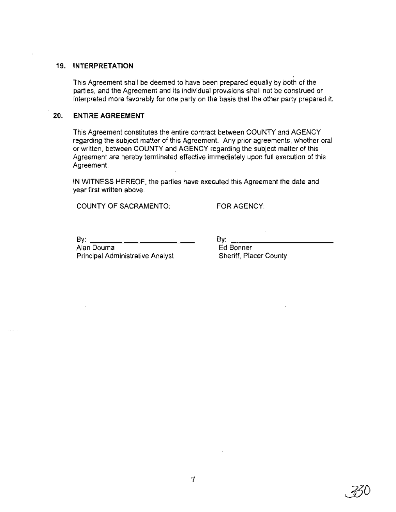#### **19. INTERPRETATION**

This Agreement shall be deemed to have been prepared equally by both of the parties, and the Agreement and its individual provisions shall not be construed or interpreted more favorably for one party on the basis that the other party prepared it.

### **20. ENTIRE AGREEMENT**

This Agreement constitutes the entire contract between COUNTY and AGENCY regarding the subject matter of this Agreement. Any prior agreements, whether oral or written, between COUNTY and AGENCY regarding the subject matter of this Agreement are hereby terminated effective immediately upon full execution of this Agreement.

IN WITNESS HEREOF, the parties have executed this Agreement the date and year first written above.

COUNTY OF SACRAMENTO:

FOR AGENCY:

By:  $\_$ 

Alan Douma Principal Administrative Analyst By:  $\overline{\phantom{a}}$ Ed Bonner Sheriff, Placer County

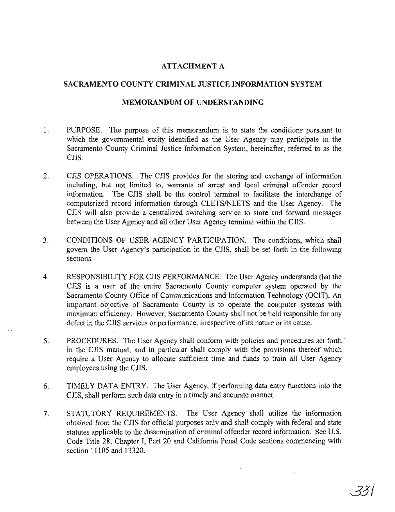# **ATTACHMENT A**

## **SACRAMENTO COUNTY CRIMINAL JUSTICE INFORMATION SYSTEM**

#### **MEMORANDUM OF UNDERSTANDING**

- 1. PURPOSE. The purpose of this memorandum is to state the conditions pursuant to which the governmental entity identified as the User Agency may participate in the Sacramento County Criminal Justice Information System, hereinafter, referred to as the CJIS.
- 2. CJIS OPERATIONS. The CJIS provides for the storing and exchange of information including, but not limited to, warrants of arrest and local criminal offender record information. The CJIS shall be the control terminal to facilitate the interchange of computerized record information through CLETSINLETS and the User Agency. The CJIS will also provide a centralized switching service to store and forward messages between the User Agency and all other User Agency terminal within the CJIS.
- 3. CONDITIONS OF USER AGENCY PARTICIPATION. The conditions, which shall govern the User Agency's participation in the CJIS, shall be set forth in the following sections.
- 4. RESPONSIBILITY FOR CJIS PERFORMANCE. The User Agency understands that the ClIS is a user of the entire Sacramento County computer system operated by the Sacramento County Office of Communications and Information Technology (OCIT). An important objective of Sacramento County is to operate the computer systems with maximum efficiency. However, Sacramento County shall not be held responsible for any defect in the CJIS services or performance, irrespective of its nature or its cause.
- 5. PROCEDURES. The User Agency shall conform with policies and procedures set forth' in the CJIS manual, and in particular shall comply with the provisions thereof which require a User Agency to allocate sufficient time and funds to train all User Agency employees using the CJIS.
- 6. TIMELY DATA ENTRY. The User Agency, if performing data entry functions into the CJIS, shall perform such data entry in a timely and accurate manner.
- 7. STATUTORY REQUIREMENTS. The User Agency shall utilize the information obtained from the ClIS for official purposes only and shall comply with federal and state statutes applicable to the dissemination of criminal offender record information. See U.S. Code Title 28, Chapter I, Part 20 and California Penal Code sections commencing with section 11105 and 13320.